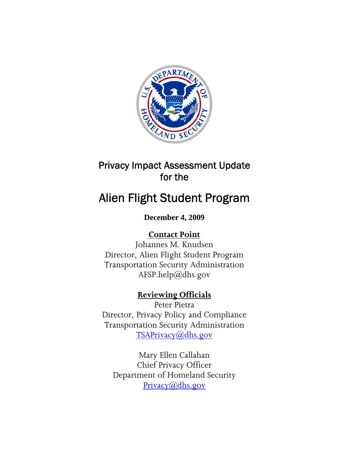

# Privacy Impact Assessment Update for the

# Alien Flight Student Program

# **December 4, 2009**

# **Contact Point**

Johannes M. Knudsen Director, Alien Flight Student Program Transportation Security Administration AFSP.help@dhs.gov

# **Reviewing Officials**

Peter Pietra Director, Privacy Policy and Compliance Transportation Security Administration [TSAPrivacy@dhs.gov](mailto:TSAPrivacy@dhs.gov)

Mary Ellen Callahan Chief Privacy Officer Department of Homeland Security [Privacy@dhs.gov](mailto:Privacy@dhs.gov)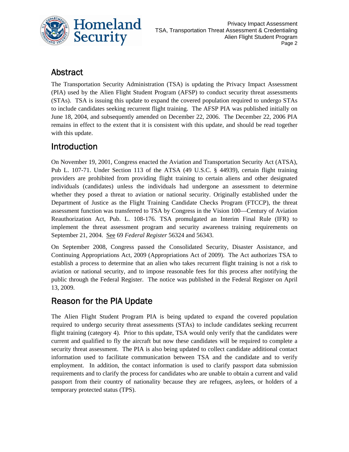

### Abstract

The Transportation Security Administration (TSA) is updating the Privacy Impact Assessment (PIA) used by the Alien Flight Student Program (AFSP) to conduct security threat assessments (STAs). TSA is issuing this update to expand the covered population required to undergo STAs to include candidates seeking recurrent flight training. The AFSP PIA was published initially on June 18, 2004, and subsequently amended on December 22, 2006. The December 22, 2006 PIA remains in effect to the extent that it is consistent with this update, and should be read together with this update.

# Introduction

On November 19, 2001, Congress enacted the Aviation and Transportation Security Act (ATSA), Pub L. 107-71. Under Section 113 of the ATSA (49 U.S.C. § 44939), certain flight training providers are prohibited from providing flight training to certain aliens and other designated individuals (candidates) unless the individuals had undergone an assessment to determine whether they posed a threat to aviation or national security. Originally established under the Department of Justice as the Flight Training Candidate Checks Program (FTCCP), the threat assessment function was transferred to TSA by Congress in the Vision 100—Century of Aviation Reauthorization Act, Pub. L. 108-176. TSA promulgated an Interim Final Rule (IFR) to implement the threat assessment program and security awareness training requirements on September 21, 2004. See 69 *Federal Register* 56324 and 56343.

On September 2008, Congress passed the Consolidated Security, Disaster Assistance, and Continuing Appropriations Act, 2009 (Appropriations Act of 2009). The Act authorizes TSA to establish a process to determine that an alien who takes recurrent flight training is not a risk to aviation or national security, and to impose reasonable fees for this process after notifying the public through the Federal Register. The notice was published in the Federal Register on April 13, 2009.

## Reason for the PIA Update

The Alien Flight Student Program PIA is being updated to expand the covered population required to undergo security threat assessments (STAs) to include candidates seeking recurrent flight training (category 4). Prior to this update, TSA would only verify that the candidates were current and qualified to fly the aircraft but now these candidates will be required to complete a security threat assessment. The PIA is also being updated to collect candidate additional contact information used to facilitate communication between TSA and the candidate and to verify employment. In addition, the contact information is used to clarify passport data submission requirements and to clarify the process for candidates who are unable to obtain a current and valid passport from their country of nationality because they are refugees, asylees, or holders of a temporary protected status (TPS).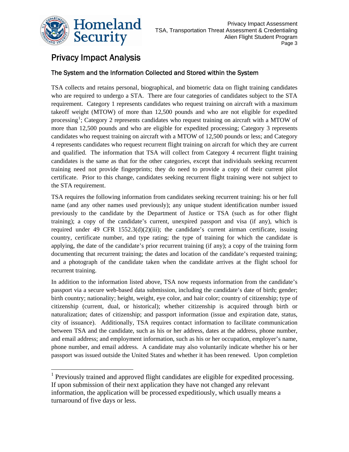

 $\overline{a}$ 

## Privacy Impact Analysis

#### The System and the Information Collected and Stored within the System

TSA collects and retains personal, biographical, and biometric data on flight training candidates who are required to undergo a STA. There are four categories of candidates subject to the STA requirement. Category 1 represents candidates who request training on aircraft with a maximum takeoff weight (MTOW) of more than 12,500 pounds and who are not eligible for expedited processing<sup>[1](#page-2-0)</sup>; Category 2 represents candidates who request training on aircraft with a MTOW of more than 12,500 pounds and who are eligible for expedited processing; Category 3 represents candidates who request training on aircraft with a MTOW of 12,500 pounds or less; and Category 4 represents candidates who request recurrent flight training on aircraft for which they are current and qualified. The information that TSA will collect from Category 4 recurrent flight training candidates is the same as that for the other categories, except that individuals seeking recurrent training need not provide fingerprints; they do need to provide a copy of their current pilot certificate. Prior to this change, candidates seeking recurrent flight training were not subject to the STA requirement.

TSA requires the following information from candidates seeking recurrent training: his or her full name (and any other names used previously); any unique student identification number issued previously to the candidate by the Department of Justice or TSA (such as for other flight training); a copy of the candidate's current, unexpired passport and visa (if any), which is required under 49 CFR  $1552.3(d)(2)(iii)$ ; the candidate's current airman certificate, issuing country, certificate number, and type rating; the type of training for which the candidate is applying, the date of the candidate's prior recurrent training (if any); a copy of the training form documenting that recurrent training; the dates and location of the candidate's requested training; and a photograph of the candidate taken when the candidate arrives at the flight school for recurrent training.

In addition to the information listed above, TSA now requests information from the candidate's passport via a secure web-based data submission, including the candidate's date of birth; gender; birth country; nationality; height, weight, eye color, and hair color; country of citizenship; type of citizenship (current, dual, or historical); whether citizenship is acquired through birth or naturalization; dates of citizenship; and passport information (issue and expiration date, status, city of issuance). Additionally, TSA requires contact information to facilitate communication between TSA and the candidate, such as his or her address, dates at the address, phone number, and email address; and employment information, such as his or her occupation, employer's name, phone number, and email address. A candidate may also voluntarily indicate whether his or her passport was issued outside the United States and whether it has been renewed. Upon completion

<span id="page-2-0"></span><sup>&</sup>lt;sup>1</sup> Previously trained and approved flight candidates are eligible for expedited processing. If upon submission of their next application they have not changed any relevant information, the application will be processed expeditiously, which usually means a turnaround of five days or less.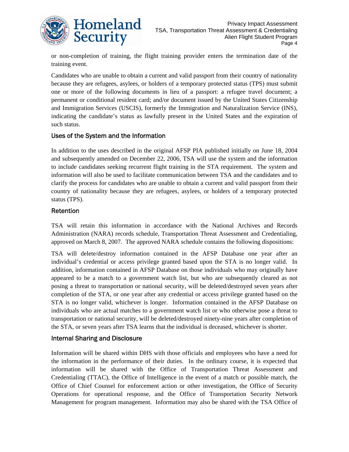

or non-completion of training, the flight training provider enters the termination date of the training event.

Candidates who are unable to obtain a current and valid passport from their country of nationality because they are refugees, asylees, or holders of a temporary protected status (TPS) must submit one or more of the following documents in lieu of a passport: a refugee travel document; a permanent or conditional resident card; and/or document issued by the United States Citizenship and Immigration Services (USCIS), formerly the Immigration and Naturalization Service (INS), indicating the candidate's status as lawfully present in the United States and the expiration of such status.

#### Uses of the System and the Information

In addition to the uses described in the original AFSP PIA published initially on June 18, 2004 and subsequently amended on December 22, 2006, TSA will use the system and the information to include candidates seeking recurrent flight training in the STA requirement. The system and information will also be used to facilitate communication between TSA and the candidates and to clarify the process for candidates who are unable to obtain a current and valid passport from their country of nationality because they are refugees, asylees, or holders of a temporary protected status (TPS).

#### Retention

TSA will retain this information in accordance with the National Archives and Records Administration (NARA) records schedule, Transportation Threat Assessment and Credentialing, approved on March 8, 2007. The approved NARA schedule contains the following dispositions:

TSA will delete/destroy information contained in the AFSP Database one year after an individual's credential or access privilege granted based upon the STA is no longer valid. In addition, information contained in AFSP Database on those individuals who may originally have appeared to be a match to a government watch list, but who are subsequently cleared as not posing a threat to transportation or national security, will be deleted/destroyed seven years after completion of the STA, or one year after any credential or access privilege granted based on the STA is no longer valid, whichever is longer. Information contained in the AFSP Database on individuals who are actual matches to a government watch list or who otherwise pose a threat to transportation or national security, will be deleted/destroyed ninety-nine years after completion of the STA, or seven years after TSA learns that the individual is deceased, whichever is shorter.

#### Internal Sharing and Disclosure

Information will be shared within DHS with those officials and employees who have a need for the information in the performance of their duties. In the ordinary course, it is expected that information will be shared with the Office of Transportation Threat Assessment and Credentialing (TTAC), the Office of Intelligence in the event of a match or possible match, the Office of Chief Counsel for enforcement action or other investigation, the Office of Security Operations for operational response, and the Office of Transportation Security Network Management for program management. Information may also be shared with the TSA Office of